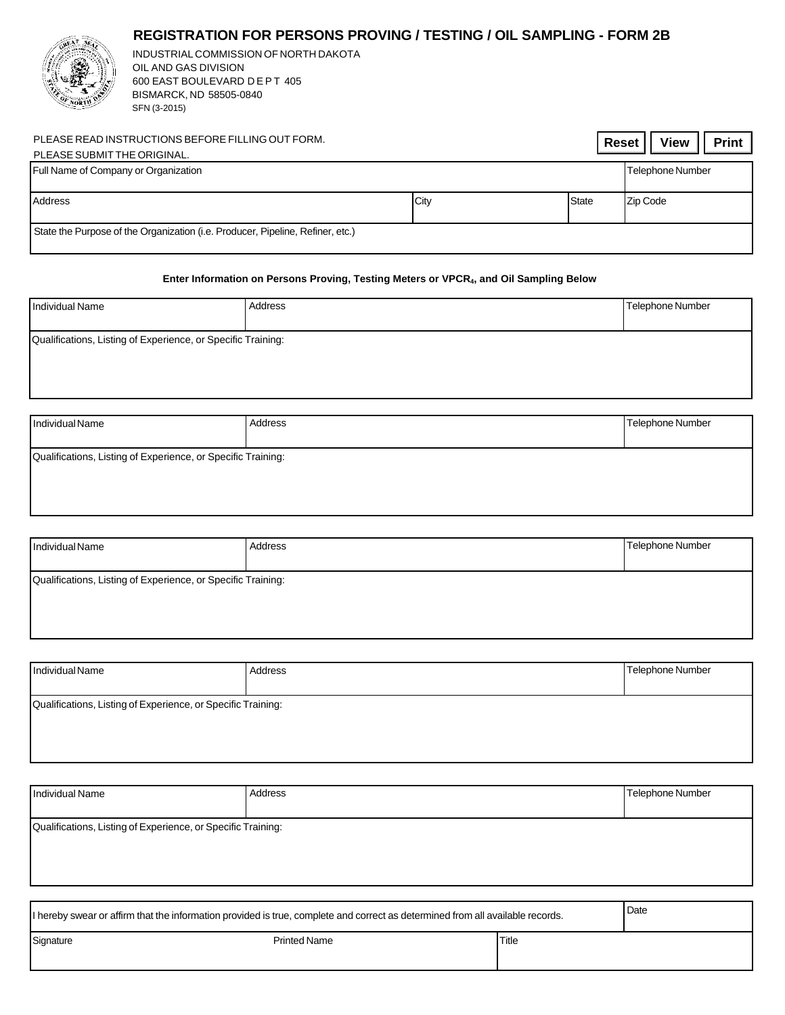## **REGISTRATION FOR PERSONS PROVING / TESTING / OIL SAMPLING - FORM 2B**



INDUSTRIAL COMMISSION OF NORTH DAKOTA OIL AND GAS DIVISION 600 EAST BOULEVARD D E P T 405 BISMARCK, ND 58505-0840 SFN (3-2015)

| PLEASE READ INSTRUCTIONS BEFORE FILLING OUT FORM.<br>PLEASE SUBMIT THE ORIGINAL. |      | Reset        | <b>View</b><br><b>Print</b> |
|----------------------------------------------------------------------------------|------|--------------|-----------------------------|
| Full Name of Company or Organization                                             |      |              | Telephone Number            |
| Address                                                                          | City | <b>State</b> | Zip Code                    |
| State the Purpose of the Organization (i.e. Producer, Pipeline, Refiner, etc.)   |      |              |                             |

## **Enter Information on Persons Proving, Testing Meters or VPCR4, and Oil Sampling Below**

| <b>Individual Name</b>                                       | Address | Telephone Number |  |  |
|--------------------------------------------------------------|---------|------------------|--|--|
| Qualifications, Listing of Experience, or Specific Training: |         |                  |  |  |
|                                                              |         |                  |  |  |
| Individual Name                                              | Address | Telephone Number |  |  |
| Qualifications, Listing of Experience, or Specific Training: |         |                  |  |  |

| <b>Individual Name</b>                                       | Address | Telephone Number |
|--------------------------------------------------------------|---------|------------------|
| Qualifications, Listing of Experience, or Specific Training: |         |                  |

| Individual Name                                              | Address | Telephone Number |
|--------------------------------------------------------------|---------|------------------|
| Qualifications, Listing of Experience, or Specific Training: |         |                  |

| <b>Individual Name</b>                                                                                                         | Address             |       | <b>Telephone Number</b> |  |
|--------------------------------------------------------------------------------------------------------------------------------|---------------------|-------|-------------------------|--|
|                                                                                                                                |                     |       |                         |  |
| Qualifications, Listing of Experience, or Specific Training:                                                                   |                     |       |                         |  |
|                                                                                                                                |                     |       |                         |  |
|                                                                                                                                |                     |       |                         |  |
|                                                                                                                                |                     |       |                         |  |
|                                                                                                                                |                     |       |                         |  |
| I hereby swear or affirm that the information provided is true, complete and correct as determined from all available records. |                     | Date  |                         |  |
| Signature                                                                                                                      | <b>Printed Name</b> | Title |                         |  |